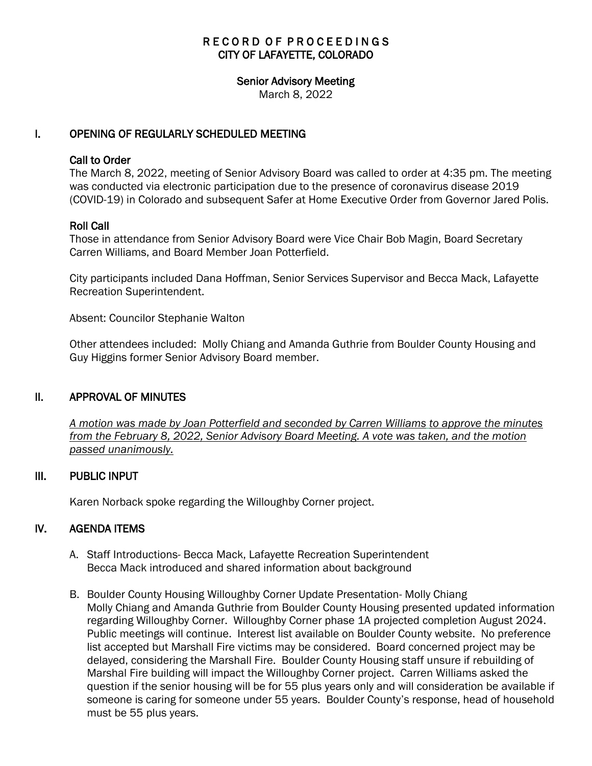# RECORD OF PROCEEDINGS CITY OF LAFAYETTE, COLORADO

#### Senior Advisory Meeting

March 8, 2022

### I. OPENING OF REGULARLY SCHEDULED MEETING

#### Call to Order

The March 8, 2022, meeting of Senior Advisory Board was called to order at 4:35 pm. The meeting was conducted via electronic participation due to the presence of coronavirus disease 2019 (COVID-19) in Colorado and subsequent Safer at Home Executive Order from Governor Jared Polis.

### Roll Call

Those in attendance from Senior Advisory Board were Vice Chair Bob Magin, Board Secretary Carren Williams, and Board Member Joan Potterfield.

City participants included Dana Hoffman, Senior Services Supervisor and Becca Mack, Lafayette Recreation Superintendent.

Absent: Councilor Stephanie Walton

Other attendees included: Molly Chiang and Amanda Guthrie from Boulder County Housing and Guy Higgins former Senior Advisory Board member.

### II. APPROVAL OF MINUTES

 *A motion was made by Joan Potterfield and seconded by Carren Williams to approve the minutes from the February 8, 2022, Senior Advisory Board Meeting. A vote was taken, and the motion passed unanimously.*

### III. PUBLIC INPUT

Karen Norback spoke regarding the Willoughby Corner project.

### IV. AGENDA ITEMS

- A. Staff Introductions- Becca Mack, Lafayette Recreation Superintendent Becca Mack introduced and shared information about background
- B. Boulder County Housing Willoughby Corner Update Presentation- Molly Chiang Molly Chiang and Amanda Guthrie from Boulder County Housing presented updated information regarding Willoughby Corner. Willoughby Corner phase 1A projected completion August 2024. Public meetings will continue. Interest list available on Boulder County website. No preference list accepted but Marshall Fire victims may be considered. Board concerned project may be delayed, considering the Marshall Fire. Boulder County Housing staff unsure if rebuilding of Marshal Fire building will impact the Willoughby Corner project. Carren Williams asked the question if the senior housing will be for 55 plus years only and will consideration be available if someone is caring for someone under 55 years. Boulder County's response, head of household must be 55 plus years.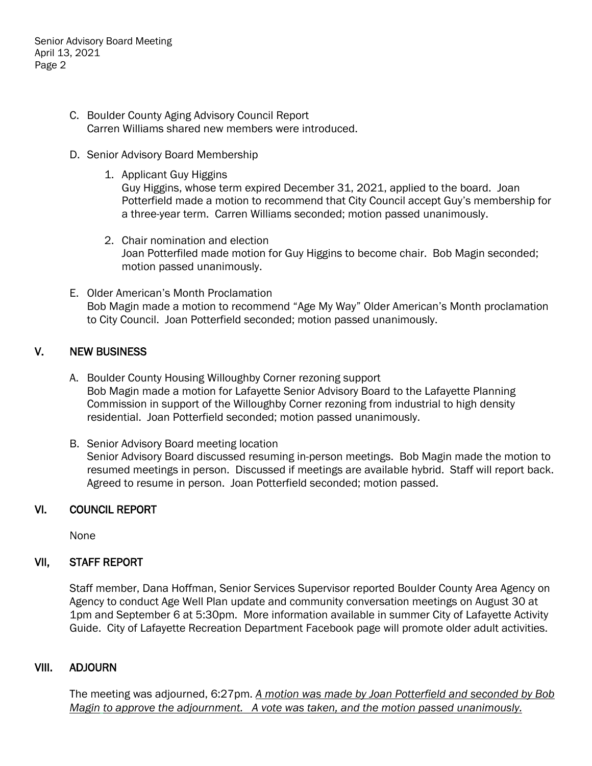Senior Advisory Board Meeting April 13, 2021 Page 2

- C. Boulder County Aging Advisory Council Report Carren Williams shared new members were introduced.
- D. Senior Advisory Board Membership
	- 1. Applicant Guy Higgins Guy Higgins, whose term expired December 31, 2021, applied to the board. Joan Potterfield made a motion to recommend that City Council accept Guy's membership for a three-year term. Carren Williams seconded; motion passed unanimously.
	- 2. Chair nomination and election Joan Potterfiled made motion for Guy Higgins to become chair. Bob Magin seconded; motion passed unanimously.
- E. Older American's Month Proclamation Bob Magin made a motion to recommend "Age My Way" Older American's Month proclamation to City Council. Joan Potterfield seconded; motion passed unanimously.

# V. NEW BUSINESS

- A. Boulder County Housing Willoughby Corner rezoning support Bob Magin made a motion for Lafayette Senior Advisory Board to the Lafayette Planning Commission in support of the Willoughby Corner rezoning from industrial to high density residential. Joan Potterfield seconded; motion passed unanimously.
- B. Senior Advisory Board meeting location Senior Advisory Board discussed resuming in-person meetings. Bob Magin made the motion to resumed meetings in person. Discussed if meetings are available hybrid. Staff will report back. Agreed to resume in person. Joan Potterfield seconded; motion passed.

# VI. COUNCIL REPORT

None

# VII, STAFF REPORT

Staff member, Dana Hoffman, Senior Services Supervisor reported Boulder County Area Agency on Agency to conduct Age Well Plan update and community conversation meetings on August 30 at 1pm and September 6 at 5:30pm. More information available in summer City of Lafayette Activity Guide. City of Lafayette Recreation Department Facebook page will promote older adult activities.

# VIII. ADJOURN

The meeting was adjourned, 6:27pm. *A motion was made by Joan Potterfield and seconded by Bob Magin to approve the adjournment. A vote was taken, and the motion passed unanimously.*